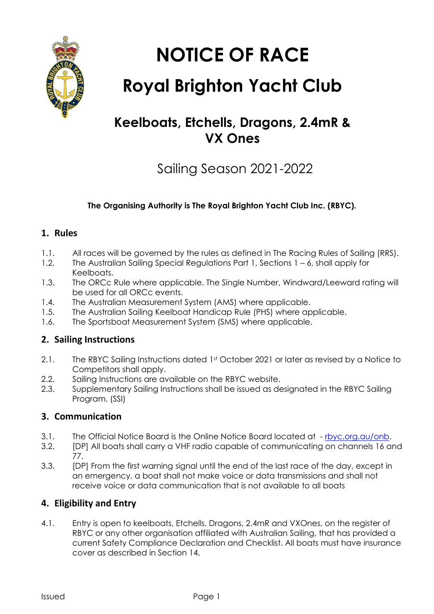

**NOTICE OF RACE**

# **Royal Brighton Yacht Club**

# **Keelboats, Etchells, Dragons, 2.4mR & VX Ones**

# Sailing Season 2021-2022

#### **The Organising Authority is The Royal Brighton Yacht Club Inc. (RBYC).**

#### **1. Rules**

- 1.1. All races will be governed by the rules as defined in The Racing Rules of Sailing (RRS).
- 1.2. The Australian Sailing Special Regulations Part 1, Sections 1 6, shall apply for Keelboats.
- 1.3. The ORCc Rule where applicable. The Single Number, Windward/Leeward rating will be used for all ORCc events.
- 1.4. The Australian Measurement System (AMS) where applicable.
- 1.5. The Australian Sailing Keelboat Handicap Rule (PHS) where applicable.
- 1.6. The Sportsboat Measurement System (SMS) where applicable.

## **2. Sailing Instructions**

- 2.1. The RBYC Sailing Instructions dated 1st October 2021 or later as revised by a Notice to Competitors shall apply.
- 2.2. Sailing Instructions are available on the RBYC website.
- 2.3. Supplementary Sailing Instructions shall be issued as designated in the RBYC Sailing Program. (SSI)

## **3. Communication**

- 3.1. The Official Notice Board is the Online Notice Board located at -[rbyc.org.au/onb.](https://rbyc.org.au/onb)
- 3.2. [DP] All boats shall carry a VHF radio capable of communicating on channels 16 and 77.
- 3.3. [DP] From the first warning signal until the end of the last race of the day, except in an emergency, a boat shall not make voice or data transmissions and shall not receive voice or data communication that is not available to all boats

## **4. Eligibility and Entry**

4.1. Entry is open to keelboats, Etchells, Dragons, 2.4mR and VXOnes, on the register of RBYC or any other organisation affiliated with Australian Sailing, that has provided a current Safety Compliance Declaration and Checklist. All boats must have insurance cover as described in Section 14.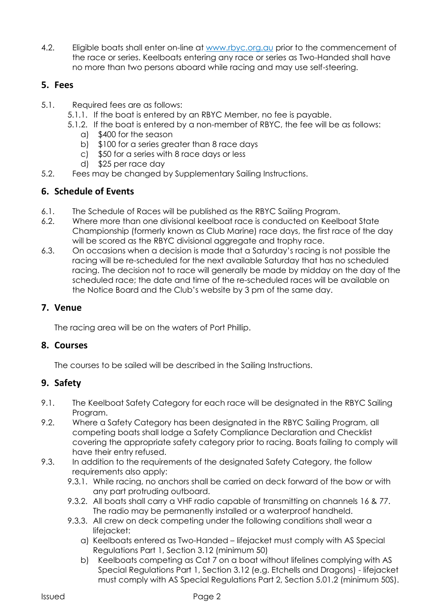4.2. Eligible boats shall enter on-line at [www.rbyc.org.au](http://www.rbyc.org.au/) prior to the commencement of the race or series. Keelboats entering any race or series as Two-Handed shall have no more than two persons aboard while racing and may use self-steering.

#### **5. Fees**

- 5.1. Required fees are as follows:
	- 5.1.1. If the boat is entered by an RBYC Member, no fee is payable.
	- 5.1.2. If the boat is entered by a non-member of RBYC, the fee will be as follows:
		- a) \$400 for the season
		- b) \$100 for a series greater than 8 race days
		- c) \$50 for a series with 8 race days or less
		- d) \$25 per race day
- 5.2. Fees may be changed by Supplementary Sailing Instructions.

#### **6. Schedule of Events**

- 6.1. The Schedule of Races will be published as the RBYC Sailing Program.
- 6.2. Where more than one divisional keelboat race is conducted on Keelboat State Championship (formerly known as Club Marine) race days, the first race of the day will be scored as the RBYC divisional aggregate and trophy race.
- 6.3. On occasions when a decision is made that a Saturday's racing is not possible the racing will be re-scheduled for the next available Saturday that has no scheduled racing. The decision not to race will generally be made by midday on the day of the scheduled race; the date and time of the re-scheduled races will be available on the Notice Board and the Club's website by 3 pm of the same day.

#### **7. Venue**

The racing area will be on the waters of Port Phillip.

#### **8. Courses**

The courses to be sailed will be described in the Sailing Instructions.

#### **9. Safety**

- 9.1. The Keelboat Safety Category for each race will be designated in the RBYC Sailing Program.
- 9.2. Where a Safety Category has been designated in the RBYC Sailing Program, all competing boats shall lodge a Safety Compliance Declaration and Checklist covering the appropriate safety category prior to racing. Boats failing to comply will have their entry refused.
- 9.3. In addition to the requirements of the designated Safety Category, the follow requirements also apply:
	- 9.3.1. While racing, no anchors shall be carried on deck forward of the bow or with any part protruding outboard.
	- 9.3.2. All boats shall carry a VHF radio capable of transmitting on channels 16 & 77. The radio may be permanently installed or a waterproof handheld.
	- 9.3.3. All crew on deck competing under the following conditions shall wear a lifejacket:
		- a) Keelboats entered as Two-Handed lifejacket must comply with AS Special Regulations Part 1, Section 3.12 (minimum 50)
		- b) Keelboats competing as Cat 7 on a boat without lifelines complying with AS Special Regulations Part 1, Section 3.12 (e.g. Etchells and Dragons) - lifejacket must comply with AS Special Regulations Part 2, Section 5.01.2 (minimum 50S).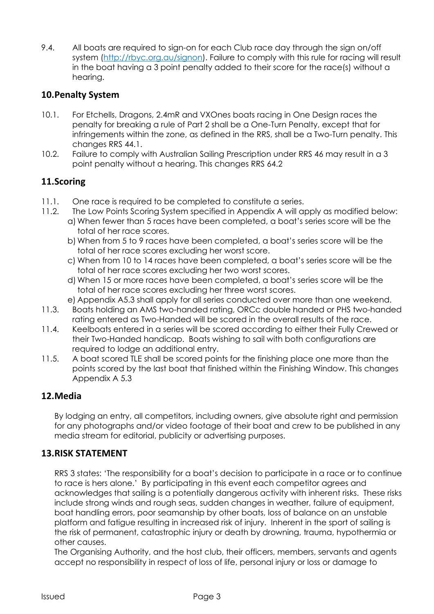9.4. All boats are required to sign-on for each Club race day through the sign on/off system [\(http://rbyc.org.au/signon](http://rbyc.org.au/signon)[\).](http://sailingresults.net/rbyc) Failure to comply with this rule for racing will result in the boat having a 3 point penalty added to their score for the race(s) without a hearing.

#### **10.Penalty System**

- 10.1. For Etchells, Dragons, 2.4mR and VXOnes boats racing in One Design races the penalty for breaking a rule of Part 2 shall be a One-Turn Penalty, except that for infringements within the zone, as defined in the RRS, shall be a Two-Turn penalty. This changes RRS 44.1.
- 10.2. Failure to comply with Australian Sailing Prescription under RRS 46 may result in a 3 point penalty without a hearing. This changes RRS 64.2

#### **11.Scoring**

- 11.1. One race is required to be completed to constitute a series.
- 11.2. The Low Points Scoring System specified in Appendix A will apply as modified below:
	- a) When fewer than 5 races have been completed, a boat's series score will be the total of her race scores.
	- b) When from 5 to 9 races have been completed, a boat's series score will be the total of her race scores excluding her worst score.
	- c) When from 10 to 14 races have been completed, a boat's series score will be the total of her race scores excluding her two worst scores.
	- d) When 15 or more races have been completed, a boat's series score will be the total of her race scores excluding her three worst scores.
	- e) Appendix A5.3 shall apply for all series conducted over more than one weekend.
- 11.3. Boats holding an AMS two-handed rating, ORCc double handed or PHS two-handed rating entered as Two-Handed will be scored in the overall results of the race.
- 11.4. Keelboats entered in a series will be scored according to either their Fully Crewed or their Two-Handed handicap. Boats wishing to sail with both configurations are required to lodge an additional entry.
- 11.5. A boat scored TLE shall be scored points for the finishing place one more than the points scored by the last boat that finished within the Finishing Window. This changes Appendix A 5.3

#### **12.Media**

By lodging an entry, all competitors, including owners, give absolute right and permission for any photographs and/or video footage of their boat and crew to be published in any media stream for editorial, publicity or advertising purposes.

#### **13.RISK STATEMENT**

RRS 3 states: 'The responsibility for a boat's decision to participate in a race or to continue to race is hers alone.' By participating in this event each competitor agrees and acknowledges that sailing is a potentially dangerous activity with inherent risks. These risks include strong winds and rough seas, sudden changes in weather, failure of equipment, boat handling errors, poor seamanship by other boats, loss of balance on an unstable platform and fatigue resulting in increased risk of injury. Inherent in the sport of sailing is the risk of permanent, catastrophic injury or death by drowning, trauma, hypothermia or other causes.

The Organising Authority, and the host club, their officers, members, servants and agents accept no responsibility in respect of loss of life, personal injury or loss or damage to